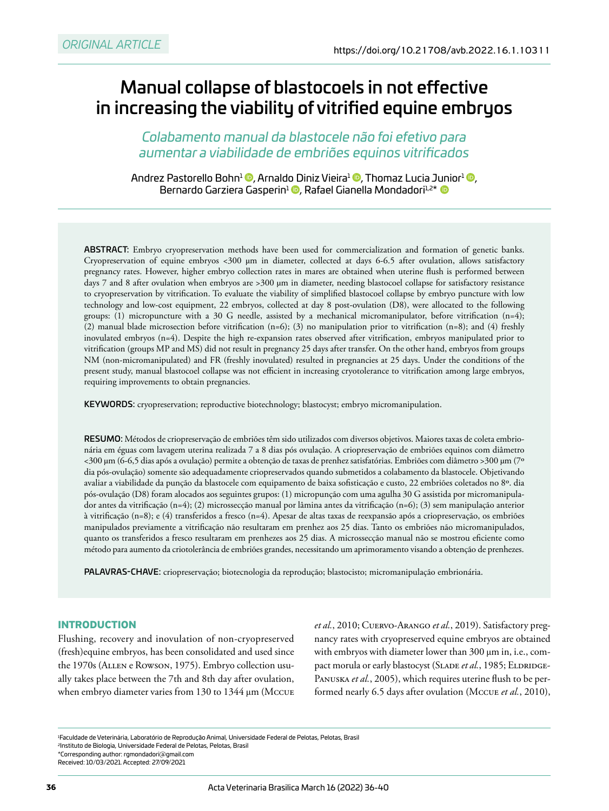# Manual collapse of blastocoels in not effective in increasing the viability of vitrified equine embryos

*Colabamento manual da blastocele não foi efetivo para aumentar a viabilidade de embriões equinos vitrificados*

Andrez Pastorello Bohn<sup>1</sup> (D, Arnaldo Diniz Vieira<sup>1</sup> <sup>(D</sup>, Thomaz Lucia Junior<sup>1</sup> (D, BernardoGarziera Gasperin<sup>1</sup> **D**, Rafael Gianella Mondadori<sup>1,2\*</sup> **D** 

ABSTRACT: Embryo cryopreservation methods have been used for commercialization and formation of genetic banks. Cryopreservation of equine embryos <300 μm in diameter, collected at days 6-6.5 after ovulation, allows satisfactory pregnancy rates. However, higher embryo collection rates in mares are obtained when uterine flush is performed between days 7 and 8 after ovulation when embryos are >300 μm in diameter, needing blastocoel collapse for satisfactory resistance to cryopreservation by vitrification. To evaluate the viability of simplified blastocoel collapse by embryo puncture with low technology and low-cost equipment, 22 embryos, collected at day 8 post-ovulation (D8), were allocated to the following groups: (1) micropuncture with a 30 G needle, assisted by a mechanical micromanipulator, before vitrification  $(n=4)$ ; (2) manual blade microsection before vitrification (n=6); (3) no manipulation prior to vitrification (n=8); and (4) freshly inovulated embryos (n=4). Despite the high re-expansion rates observed after vitrification, embryos manipulated prior to vitrification (groups MP and MS) did not result in pregnancy 25 days after transfer. On the other hand, embryos from groups NM (non-micromanipulated) and FR (freshly inovulated) resulted in pregnancies at 25 days. Under the conditions of the present study, manual blastocoel collapse was not efficient in increasing cryotolerance to vitrification among large embryos, requiring improvements to obtain pregnancies.

KEYWORDS: cryopreservation; reproductive biotechnology; blastocyst; embryo micromanipulation.

RESUMO: Métodos de criopreservação de embriões têm sido utilizados com diversos objetivos. Maiores taxas de coleta embrionária em éguas com lavagem uterina realizada 7 a 8 dias pós ovulação. A criopreservação de embriões equinos com diâmetro <300 μm (6-6,5 dias após a ovulação) permite a obtenção de taxas de prenhez satisfatórias. Embriões com diâmetro >300 μm (7º dia pós-ovulação) somente são adequadamente criopreservados quando submetidos a colabamento da blastocele. Objetivando avaliar a viabilidade da punção da blastocele com equipamento de baixa sofisticação e custo, 22 embriões coletados no 8º. dia pós-ovulação (D8) foram alocados aos seguintes grupos: (1) micropunção com uma agulha 30 G assistida por micromanipulador antes da vitrificação (n=4); (2) microssecção manual por lâmina antes da vitrificação (n=6); (3) sem manipulação anterior à vitrificação (n=8); e (4) transferidos a fresco (n=4). Apesar de altas taxas de reexpansão após a criopreservação, os embriões manipulados previamente a vitrificação não resultaram em prenhez aos 25 dias. Tanto os embriões não micromanipulados, quanto os transferidos a fresco resultaram em prenhezes aos 25 dias. A microssecção manual não se mostrou eficiente como método para aumento da criotolerância de embriões grandes, necessitando um aprimoramento visando a obtenção de prenhezes.

PALAVRAS-CHAVE: criopreservação; biotecnologia da reprodução; blastocisto; micromanipulação embrionária.

## **INTRODUCTION**

Flushing, recovery and inovulation of non-cryopreserved (fresh)equine embryos, has been consolidated and used since the 1970s (Allen e Rowson, 1975). Embryo collection usually takes place between the 7th and 8th day after ovulation, when embryo diameter varies from 130 to 1344 μm (Mccue *et al.*, 2010; Cuervo-Arango *et al.*, 2019). Satisfactory pregnancy rates with cryopreserved equine embryos are obtained with embryos with diameter lower than 300 μm in, i.e., compact morula or early blastocyst (SLADE et al., 1985; ELDRIDGE-PANUSKA et al., 2005), which requires uterine flush to be performed nearly 6.5 days after ovulation (Mccue *et al.*, 2010),

<sup>1</sup> Faculdade de Veterinária, Laboratório de Reprodução Animal, Universidade Federal de Pelotas, Pelotas, Brasil 2Instituto de Biologia, Universidade Federal de Pelotas, Pelotas, Brasil \*Corresponding author: [rgmondadori@gmail.com](mailto:rgmondadori@gmail.com)

Received: 10/03/2021. Accepted: 27/09/2021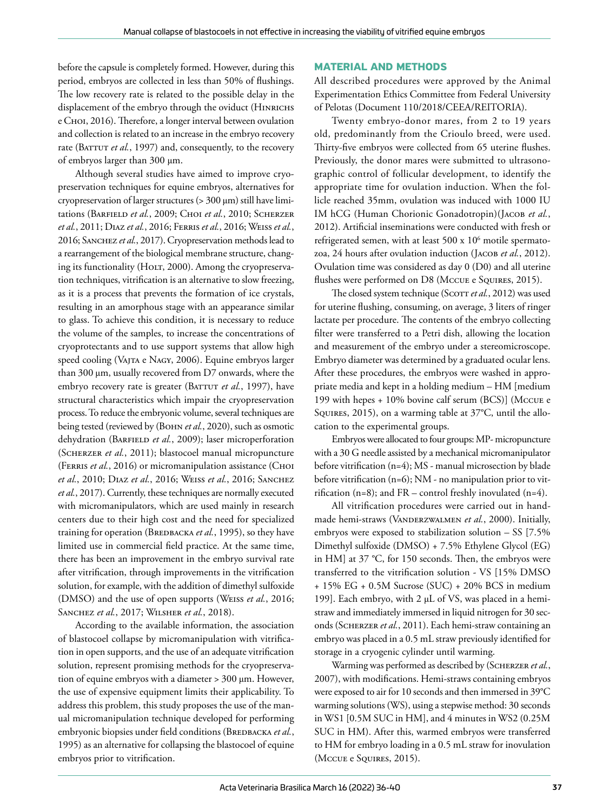before the capsule is completely formed. However, during this period, embryos are collected in less than 50% of flushings. The low recovery rate is related to the possible delay in the displacement of the embryo through the oviduct (HINRICHS e Choi, 2016). Therefore, a longer interval between ovulation and collection is related to an increase in the embryo recovery rate (BATTUT et al., 1997) and, consequently, to the recovery of embryos larger than 300 μm.

Although several studies have aimed to improve cryopreservation techniques for equine embryos, alternatives for cryopreservation of larger structures (> 300 μm) still have limitations (BARFIELD et al., 2009; CHOI et al., 2010; SCHERZER *et al.*, 2011; Diaz *et al.*, 2016; Ferris *et al.*, 2016; Weiss *et al.*, 2016; Sanchez *et al.*, 2017). Cryopreservation methods lead to a rearrangement of the biological membrane structure, changing its functionality (HOLT, 2000). Among the cryopreservation techniques, vitrification is an alternative to slow freezing, as it is a process that prevents the formation of ice crystals, resulting in an amorphous stage with an appearance similar to glass. To achieve this condition, it is necessary to reduce the volume of the samples, to increase the concentrations of cryoprotectants and to use support systems that allow high speed cooling (VAJTA e NAGY, 2006). Equine embryos larger than 300 μm, usually recovered from D7 onwards, where the embryo recovery rate is greater (BATTUT et al., 1997), have structural characteristics which impair the cryopreservation process. To reduce the embryonic volume, several techniques are being tested (reviewed by (BOHN et al., 2020), such as osmotic dehydration (BARFIELD et al., 2009); laser microperforation (Scherzer *et al.*, 2011); blastocoel manual micropuncture (FERRIS et al., 2016) or micromanipulation assistance (CHOI *et al.*, 2010; Diaz *et al.*, 2016; Weiss *et al.*, 2016; Sanchez *et al.*, 2017). Currently, these techniques are normally executed with micromanipulators, which are used mainly in research centers due to their high cost and the need for specialized training for operation (Вверваска et al., 1995), so they have limited use in commercial field practice. At the same time, there has been an improvement in the embryo survival rate after vitrification, through improvements in the vitrification solution, for example, with the addition of dimethyl sulfoxide (DMSO) and the use of open supports (Weiss *et al.*, 2016; Sanchez *et al.*, 2017; Wilsher *et al.*, 2018).

According to the available information, the association of blastocoel collapse by micromanipulation with vitrification in open supports, and the use of an adequate vitrification solution, represent promising methods for the cryopreservation of equine embryos with a diameter > 300 μm. However, the use of expensive equipment limits their applicability. To address this problem, this study proposes the use of the manual micromanipulation technique developed for performing embryonic biopsies under field conditions (BREDBACKA et al., 1995) as an alternative for collapsing the blastocoel of equine embryos prior to vitrification.

## **MATERIAL AND METHODS**

All described procedures were approved by the Animal Experimentation Ethics Committee from Federal University of Pelotas (Document 110/2018/CEEA/REITORIA).

Twenty embryo-donor mares, from 2 to 19 years old, predominantly from the Crioulo breed, were used. Thirty-five embryos were collected from 65 uterine flushes. Previously, the donor mares were submitted to ultrasonographic control of follicular development, to identify the appropriate time for ovulation induction. When the follicle reached 35mm, ovulation was induced with 1000 IU IM hCG (Human Chorionic Gonadotropin)(JACOB et al., 2012). Artificial inseminations were conducted with fresh or refrigerated semen, with at least 500 x 10<sup>6</sup> motile spermatozoa, 24 hours after ovulation induction (Jacob *et al.*, 2012). Ovulation time was considered as day 0 (D0) and all uterine flushes were performed on D8 (Mccue e Squires, 2015).

The closed system technique (Scorr et al., 2012) was used for uterine flushing, consuming, on average, 3 liters of ringer lactate per procedure. The contents of the embryo collecting filter were transferred to a Petri dish, allowing the location and measurement of the embryo under a stereomicroscope. Embryo diameter was determined by a graduated ocular lens. After these procedures, the embryos were washed in appropriate media and kept in a holding medium – HM [medium 199 with hepes + 10% bovine calf serum (BCS)] (Mccue e Squires, 2015), on a warming table at 37°C, until the allocation to the experimental groups.

Embryos were allocated to four groups: MP- micropuncture with a 30 G needle assisted by a mechanical micromanipulator before vitrification (n=4); MS - manual microsection by blade before vitrification (n=6); NM - no manipulation prior to vitrification (n=8); and  $FR$  – control freshly inovulated (n=4).

All vitrification procedures were carried out in handmade hemi-straws (Vanderzwalmen *et al.*, 2000). Initially, embryos were exposed to stabilization solution – SS [7.5% Dimethyl sulfoxide (DMSO) + 7.5% Ethylene Glycol (EG) in HM] at 37 °C, for 150 seconds. Then, the embryos were transferred to the vitrification solution - VS [15% DMSO + 15% EG + 0.5M Sucrose (SUC) + 20% BCS in medium 199]. Each embryo, with 2 μL of VS, was placed in a hemistraw and immediately immersed in liquid nitrogen for 30 seconds (Scherzer *et al.*, 2011). Each hemi-straw containing an embryo was placed in a 0.5 mL straw previously identified for storage in a cryogenic cylinder until warming.

Warming was performed as described by (Scherzer *et al.*, 2007), with modifications. Hemi-straws containing embryos were exposed to air for 10 seconds and then immersed in 39°C warming solutions (WS), using a stepwise method: 30 seconds in WS1 [0.5M SUC in HM], and 4 minutes in WS2 (0.25M SUC in HM). After this, warmed embryos were transferred to HM for embryo loading in a 0.5 mL straw for inovulation (Mccue e Squires, 2015).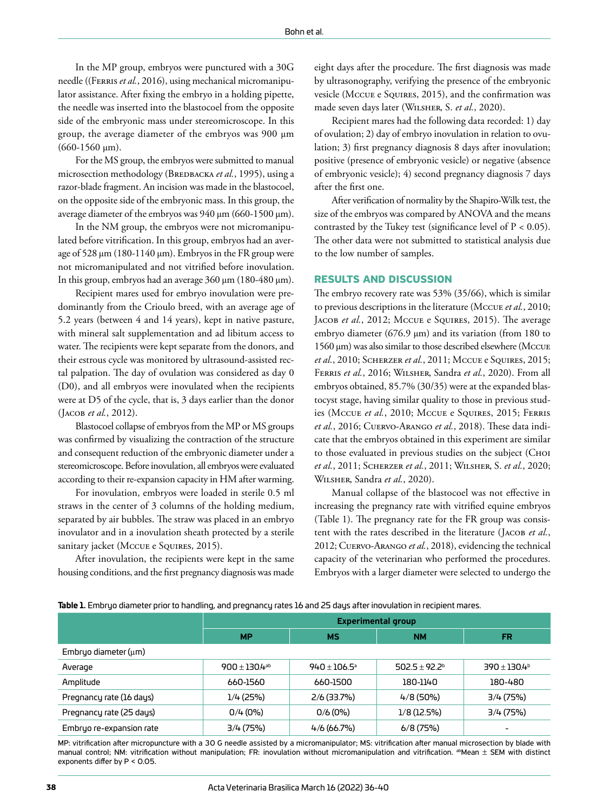In the MP group, embryos were punctured with a 30G needle ((FERRIS et al., 2016), using mechanical micromanipulator assistance. After fixing the embryo in a holding pipette, the needle was inserted into the blastocoel from the opposite side of the embryonic mass under stereomicroscope. In this group, the average diameter of the embryos was 900 μm (660-1560 μm).

For the MS group, the embryos were submitted to manual microsection methodology (BREDBACKA et al., 1995), using a razor-blade fragment. An incision was made in the blastocoel, on the opposite side of the embryonic mass. In this group, the average diameter of the embryos was 940 μm (660-1500 μm).

In the NM group, the embryos were not micromanipulated before vitrification. In this group, embryos had an average of 528 μm (180-1140 μm). Embryos in the FR group were not micromanipulated and not vitrified before inovulation. In this group, embryos had an average 360 μm (180-480 μm).

Recipient mares used for embryo inovulation were predominantly from the Crioulo breed, with an average age of 5.2 years (between 4 and 14 years), kept in native pasture, with mineral salt supplementation and ad libitum access to water. The recipients were kept separate from the donors, and their estrous cycle was monitored by ultrasound-assisted rectal palpation. The day of ovulation was considered as day 0 (D0), and all embryos were inovulated when the recipients were at D5 of the cycle, that is, 3 days earlier than the donor (Jacob *et al.*, 2012).

Blastocoel collapse of embryos from the MP or MS groups was confirmed by visualizing the contraction of the structure and consequent reduction of the embryonic diameter under a stereomicroscope. Before inovulation, all embryos were evaluated according to their re-expansion capacity in HM after warming.

For inovulation, embryos were loaded in sterile 0.5 ml straws in the center of 3 columns of the holding medium, separated by air bubbles. The straw was placed in an embryo inovulator and in a inovulation sheath protected by a sterile sanitary jacket (Mccue e Squires, 2015).

After inovulation, the recipients were kept in the same housing conditions, and the first pregnancy diagnosis was made eight days after the procedure. The first diagnosis was made by ultrasonography, verifying the presence of the embryonic vesicle (Mccue e Souires, 2015), and the confirmation was made seven days later (Wilsher, S. *et al.*, 2020).

Recipient mares had the following data recorded: 1) day of ovulation; 2) day of embryo inovulation in relation to ovulation; 3) first pregnancy diagnosis 8 days after inovulation; positive (presence of embryonic vesicle) or negative (absence of embryonic vesicle); 4) second pregnancy diagnosis 7 days after the first one.

After verification of normality by the Shapiro-Wilk test, the size of the embryos was compared by ANOVA and the means contrasted by the Tukey test (significance level of  $P < 0.05$ ). The other data were not submitted to statistical analysis due to the low number of samples.

#### **RESULTS AND DISCUSSION**

The embryo recovery rate was 53% (35/66), which is similar to previous descriptions in the literature (Mccue *et al.*, 2010; JACOB et al., 2012; McCUE e SQUIRES, 2015). The average embryo diameter (676.9 μm) and its variation (from 180 to 1560 μm) was also similar to those described elsewhere (Mccue *et al.*, 2010; Scherzer *et al.*, 2011; Mccue e Squires, 2015; Ferris *et al.*, 2016; Wilsher, Sandra *et al.*, 2020). From all embryos obtained, 85.7% (30/35) were at the expanded blastocyst stage, having similar quality to those in previous studies (Mccue *et al.*, 2010; Mccue e Squires, 2015; Ferris *et al.*, 2016; Cuervo-Arango *et al.*, 2018). These data indicate that the embryos obtained in this experiment are similar to those evaluated in previous studies on the subject (CHOI *et al.*, 2011; Scherzer *et al.*, 2011; Wilsher, S. *et al.*, 2020; Wilsher, Sandra *et al.*, 2020).

Manual collapse of the blastocoel was not effective in increasing the pregnancy rate with vitrified equine embryos (Table 1). The pregnancy rate for the FR group was consistent with the rates described in the literature (JACOB et al., 2012; Cuervo-Arango *et al.*, 2018), evidencing the technical capacity of the veterinarian who performed the procedures. Embryos with a larger diameter were selected to undergo the

|  | <b>Table 1.</b> Embryo diameter prior to handling, and pregnancy rates 16 and 25 days after inovulation in recipient mares. |  |  |  |  |  |  |  |  |  |  |  |  |  |
|--|-----------------------------------------------------------------------------------------------------------------------------|--|--|--|--|--|--|--|--|--|--|--|--|--|
|--|-----------------------------------------------------------------------------------------------------------------------------|--|--|--|--|--|--|--|--|--|--|--|--|--|

|                          | <b>Experimental group</b> |                         |                          |                         |  |  |  |  |
|--------------------------|---------------------------|-------------------------|--------------------------|-------------------------|--|--|--|--|
|                          | <b>MP</b>                 | <b>MS</b>               | <b>NM</b>                | <b>FR</b>               |  |  |  |  |
| Embruo diameter (µm)     |                           |                         |                          |                         |  |  |  |  |
| Average                  | $900 \pm 130.4$ ab        | $940 \pm 106.5^{\circ}$ | $502.5 \pm 92.2^{\circ}$ | $390 \pm 130.4^{\circ}$ |  |  |  |  |
| Amplitude                | 660-1560                  | 660-1500                | 180-1140                 | 180-480                 |  |  |  |  |
| Pregnancy rate (16 days) | $1/4$ (25%)               | $2/6$ (33.7%)           | $4/8(50\%)$              | 3/4(75%)                |  |  |  |  |
| Pregnancy rate (25 days) | 0/4(0%)                   | 0/6(0%)                 | $1/8$ (12.5%)            | 3/4(75%)                |  |  |  |  |
| Embryo re-expansion rate | 3/4(75%)                  | 4/6(66.7%)              | 6/8(75%)                 |                         |  |  |  |  |

MP: vitrification after micropuncture with a 30 G needle assisted by a micromanipulator; MS: vitrification after manual microsection by blade with manual control; NM: vitrification without manipulation; FR: inovulation without micromanipulation and vitrification. <sup>ab</sup>Mean  $\pm$  SEM with distinct exponents differ by P < 0.05.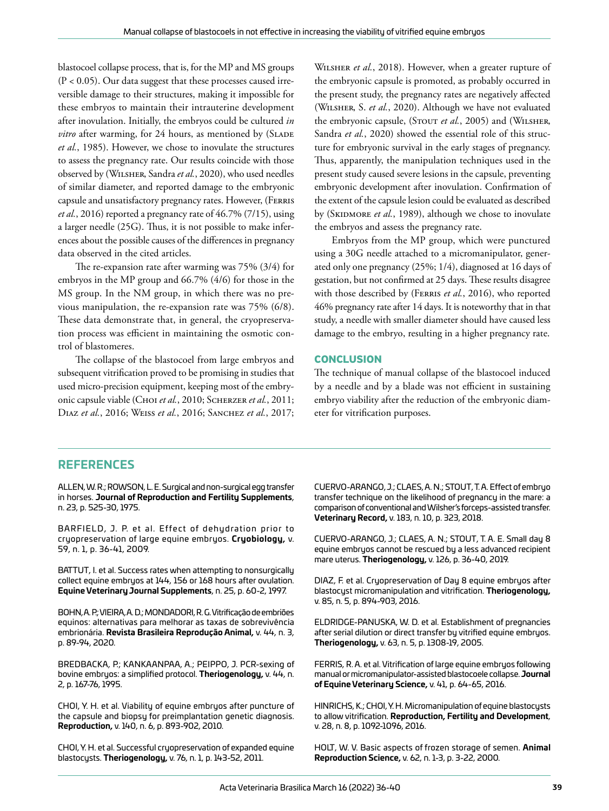blastocoel collapse process, that is, for the MP and MS groups (P < 0.05). Our data suggest that these processes caused irreversible damage to their structures, making it impossible for these embryos to maintain their intrauterine development after inovulation. Initially, the embryos could be cultured *in vitro* after warming, for 24 hours, as mentioned by (SLADE *et al.*, 1985). However, we chose to inovulate the structures to assess the pregnancy rate. Our results coincide with those observed by (Wilsher, Sandra *et al.*, 2020), who used needles of similar diameter, and reported damage to the embryonic capsule and unsatisfactory pregnancy rates. However, (Ferris *et al.*, 2016) reported a pregnancy rate of 46.7% (7/15), using a larger needle (25G). Thus, it is not possible to make inferences about the possible causes of the differences in pregnancy data observed in the cited articles.

The re-expansion rate after warming was 75% (3/4) for embryos in the MP group and 66.7% (4/6) for those in the MS group. In the NM group, in which there was no previous manipulation, the re-expansion rate was 75% (6/8). These data demonstrate that, in general, the cryopreservation process was efficient in maintaining the osmotic control of blastomeres.

The collapse of the blastocoel from large embryos and subsequent vitrification proved to be promising in studies that used micro-precision equipment, keeping most of the embryonic capsule viable (Choi *et al.*, 2010; Scherzer *et al.*, 2011; Diaz *et al.*, 2016; Weiss *et al.*, 2016; Sanchez *et al.*, 2017;

Wilsher *et al.*, 2018). However, when a greater rupture of the embryonic capsule is promoted, as probably occurred in the present study, the pregnancy rates are negatively affected (Wilsher, S. *et al.*, 2020). Although we have not evaluated the embryonic capsule, (STOUT et al., 2005) and (WILSHER, Sandra *et al.*, 2020) showed the essential role of this structure for embryonic survival in the early stages of pregnancy. Thus, apparently, the manipulation techniques used in the present study caused severe lesions in the capsule, preventing embryonic development after inovulation. Confirmation of the extent of the capsule lesion could be evaluated as described by (SKIDMORE et al., 1989), although we chose to inovulate the embryos and assess the pregnancy rate.

Embryos from the MP group, which were punctured using a 30G needle attached to a micromanipulator, generated only one pregnancy (25%; 1/4), diagnosed at 16 days of gestation, but not confirmed at 25 days. These results disagree with those described by (FERRIS et al., 2016), who reported 46% pregnancy rate after 14 days. It is noteworthy that in that study, a needle with smaller diameter should have caused less damage to the embryo, resulting in a higher pregnancy rate.

## **CONCLUSION**

The technique of manual collapse of the blastocoel induced by a needle and by a blade was not efficient in sustaining embryo viability after the reduction of the embryonic diameter for vitrification purposes.

# **REFERENCES**

ALLEN, W. R.; ROWSON, L. E. Surgical and non-surgical egg transfer in horses. **Journal of Reproduction and Fertility Supplements**, n. 23, p. 525-30, 1975.

BARFIELD, J. P. et al. Effect of dehydration prior to cryopreservation of large equine embryos. **Cryobiology,** v. 59, n. 1, p. 36-41, 2009.

BATTUT, I. et al. Success rates when attempting to nonsurgically collect equine embryos at 144, 156 or 168 hours after ovulation. **Equine Veterinary Journal Supplements**, n. 25, p. 60-2, 1997.

BOHN, A. P.; VIEIRA, A. D.; MONDADORI, R. G. Vitrificação de embriões equinos: alternativas para melhorar as taxas de sobrevivência embrionária. **Revista Brasileira Reprodução Animal,** v. 44, n. 3, p. 89-94, 2020.

BREDBACKA, P.; KANKAANPAA, A.; PEIPPO, J. PCR-sexing of bovine embryos: a simplified protocol. **Theriogenology,** v. 44, n. 2, p. 167-76, 1995.

CHOI, Y. H. et al. Viability of equine embryos after puncture of the capsule and biopsy for preimplantation genetic diagnosis. **Reproduction,** v. 140, n. 6, p. 893-902, 2010.

CHOI, Y. H. et al. Successful cryopreservation of expanded equine blastocysts. **Theriogenology,** v. 76, n. 1, p. 143-52, 2011.

CUERVO-ARANGO, J.; CLAES, A. N.; STOUT, T. A. Effect of embryo transfer technique on the likelihood of pregnancy in the mare: a comparison of conventional and Wilsher's forceps-assisted transfer. **Veterinary Record,** v. 183, n. 10, p. 323, 2018.

CUERVO-ARANGO, J.; CLAES, A. N.; STOUT, T. A. E. Small day 8 equine embryos cannot be rescued by a less advanced recipient mare uterus. **Theriogenology,** v. 126, p. 36-40, 2019.

DIAZ, F. et al. Cryopreservation of Day 8 equine embryos after blastocyst micromanipulation and vitrification. **Theriogenology,**  v. 85, n. 5, p. 894-903, 2016.

ELDRIDGE-PANUSKA, W. D. et al. Establishment of pregnancies after serial dilution or direct transfer by vitrified equine embryos. **Theriogenology,** v. 63, n. 5, p. 1308-19, 2005.

FERRIS, R. A. et al. Vitrification of large equine embryos following manual or micromanipulator-assisted blastocoele collapse. **Journal of Equine Veterinary Science,** v. 41, p. 64-65, 2016.

HINRICHS, K.; CHOI, Y. H. Micromanipulation of equine blastocysts to allow vitrification. **Reproduction, Fertility and Development**, v. 28, n. 8, p. 1092-1096, 2016.

HOLT, W. V. Basic aspects of frozen storage of semen. **Animal Reproduction Science,** v. 62, n. 1-3, p. 3-22, 2000.